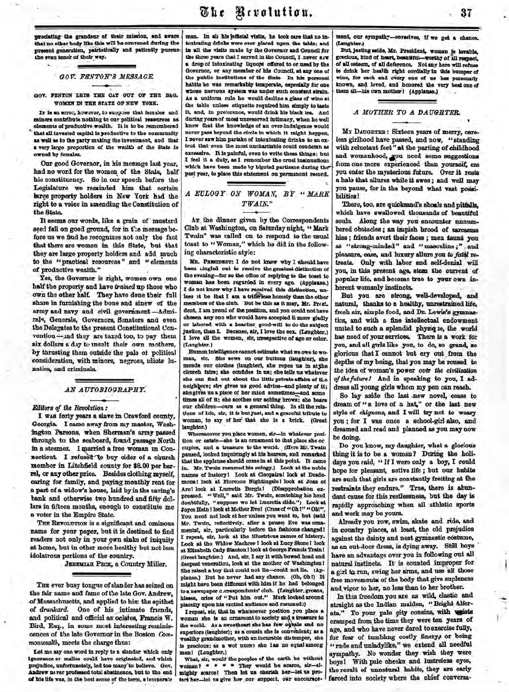predating the grandeur of their mission, and aware that no other body like this will be convened during the present generation, patriotically and pationtly pursue the even tenor of their way.

# *GOV FENTON'S MESSAGE.*

Ŷ.

GOV. FENTON LETS THE CAT OUT OF THE BAG. WOMEN IN THE STATE OP NEW YOBK.

IT is an error, however, to suppose that females and minors contribute nothing to our political resources as elements of productive wealth. It is to be remembered that all invested oapital is productive to the community as well as to the party making the investment, and that a very large proportion of the wealth of the State is owned by females.

Our good Governor, in his message last year, had no word for the women of the State, half his constituency. So in our speech before the legislature we reminded him that certain large property holders in New York had the right to a voice in amending the Constitution of the State.

It seems our words, like a grain of mustard seed fell on good ground, for in the message before us we find he recognizes not only the fact that there are women in this State, but that they are large property holders and add much *to* the "practical resources" and "elements of productive wealth."

Yes, the Governor is right, women own one half the property and have *trained* up those who own the other half. They have done their full share in furnishing the bone and sinew of the army and navy and civil government-Admirals, Generals, Governors, Senators and even the Delegates to the present Constitutional Convention -and they are taxed too, to pay them six dollars a day to mault their own mothers, by thrusting them outside the pale of political consideration, with minors, negroes, idiots lunatics, and criminals.

## *AN AUTOBIOGRAPHY.*

*Editors of the Revolution:*

I WAS forty years a slave in Crawford county, Georgia. I came away from my master, Washington Parsons, when Sherman's army passed through to the seaboard, found passage North in a steamer. I married a free woman in Connecticut. I refused to buy cider of a church member in Litchfield county for \$8.00 per barrel, or any other price. Besides clothing myself, caring for family, and paying monthly rent for a part cf a widow's house, laid by in the saving's bank and otherwise two hundred and fifty dollars in fifteen months, enough to constitute me a voter in the Empire State.

THE REVOLUTION is a significant and ominous name for your paper, but it is destined to find readers not only in your own sinks of iniquity at home, but in other more healthy but not less idolatrous portions of the eountiy.

JEREMIAH PECK, a Country Miller.

THE ever busy tongue of slander has seized on the fair name and fame of the late Gov. Andrew, of Massachusetts, and applied to him the epithet of *drunkard.* One of his intimate friends, and political and official as ociates, Francis W. Bird, Esq., in some mcst interesting reminiscences of the late Governor in the Boston *CommonweaUh,* meets the charge thus:

Let me say one word in reply to a slander which only ignorance or malice could have originated, aud which prejudice, unfortunately, led too many to believe. Gov. Andrew never professed total abstinence, but to the end of his life was, in the best sense of the term, a temperate

man. In all his {official visits, he took care that no intoxicating drinks were ever placed upon the table; and in all the visits made by the Governor and Council for the three years that I served in the Council, I .never saw a drop of intoxicating liquors offered to or used by the Governor, or any member of his Council, at any one of the public institutions of the State In his personal habits he was remarkably temperate, especially for one whose nervous aystem was under such constant strain. As a uniform rule he would decline a glass of wine at the table unless etiquette required him simply to taste it, and, in preference, would drink his black tea. And during years of most unreserved intimacy, when he well knew that the knowledge of an over-indulgence would never pass beyond the circle in which it might happen, I never saw him partake of intoxicating drinks to an extent that even the most uncharitable could condemn as excessive. It is painful, even to write these things; but I feel it a duty, as I remember the cruel insinuations which have been made by bigoted partisans during the past year, to place this statement on permanent record **Using the control of the control of the control of the control of the spectral of the control of the control of the control of the control of the control of the control of the control of the control of the control of the** 

*A* EULOGY ON WOMAN, BY "MAR *TWAIN."* 

in g characteristi c style : Club at Washington, on Saturday night, "Mark Twain" was called on to respond to the usual toast to "Woman," which he did in the follow-Ar the dinner given by the Correspondents

been tingled out to receive the greatest distinction of the evening-for so the office of replying to the toast to MR. PRESIDENT: I do not know why I should have woman has been regarded in every age. (Applause.) I do not know why I have received this distinction, unless it be that I am a trifle'leas homely than the other members of the club. But be this as it may, Mr. Presi. dent, I am proud of the position, and you could not have chosen any one who would have accepted it more gladly or labored with a heartier good-will to do the subject justice, than L Because, sir, I love the sex. (Laughter.) I love all the women, sir, irrespective of age or color. (Laughter.)

Human intelligence cannot estimate what we owe to woman, sir. She sews on our buttons (laughter), she mends our clothes (laughter), she ropes us in at the church fairs; she confides in us; she tells us whatever she can find out about the little private affairs of tLe neighbors; she gives us good advice-and plenty of it; she gives us a piece of her mind sometimes—and some times all of it; she soothes our aching brows; she bears our children—ours as a general thing. In all the relations of life, sir, it is but just, and a graceful tribute to woman, to say of her that she is a brick. (Great laughter.)

Wheresoover you place women, sir—In whatever position or estate—she is an ornament to that place she oc cuples, and a treasure to the world. (Here Mr. Twain paused, looked inquiringly at his hearers, and remarked that the applause should come in at this point. It came in. Mr. Twain resumed his eulogy.) Look at the noble names of history! Look at Cleopatra! look at Desdemona! look at Florence Nightingale 1 look at Joan of Arc! look at Lucretia Borgia! (Disapprobation expressed. "Well," said Mr. Twain, scratching his head doubtfully, "suppose wo let Lucretia slide.") Look at Joyce Heln ! look at Mother Evel (Cries of "Oh!" "Oh!" You need not look at her unless you want to, but (asid Mr. Twain, reflectively, after a pause) Eve was ornamental, sir, particularly before the fashions changed! I repeat, sir, look at the illustrious names of history. Look at the Widow Machree! look at Lucy Stone! look at Elizabeth Cady Stanton 1 look at George Francis Train! (Great laughter.) And, sir, I say it with bowed head and deepest veneration, look at the mother of Washington! She raised a boy that could not lie—could not lie. (Applause.) But he never had any chance. (Oh, Oh!) It might have been different with him if ho had belonged to a newspaper correspondents' club. (Laughter, groans, hisses, ories of "Put him out." Mark looked around placidly upon his excited audience and resumed:)

I repeat, sir, that in whatsoever position you place a woman she is an ornament to society and a treasure to the world. As a sweetheart she has few equals and no superiors (laughter); as a cousin she is convenient; as a wealthy grandmother, with an incurable dittemper, she is precious; as a wot nurse sho tas no equal among men! (Laughter.)

What, sir, would the peoples of the earth be without woman? \* \* \* \* They would be scarce, sir-almighty scarce! Then let us cherish her—let us protect her-let us give her our suppozt, our encourage. ment, our sympathy-ourselves, if we get a chance (Laughter.)

But, jesting aside, Mr. President, woman is lovable, gracious, kind of heart beautiful—worthy of all respect of all esteem, of all deference. Not any here will refuse to drink her health right cordially In this bumper of wine, for each and every one of us has personally known, and loved, and honored the very best one of them all-his own mother! (Applause.)

#### *A MOTHER TO A DAUGHTER.*

when the case of all determined by the mass of all determined by the case of all determined by the determined of all determined by the determined by the determined by the determined by the determined by the main of a main 37<br> **x** chance.<br> *n* korable,<br> *m* likewood.<br> *mili reduse*<br>
bumper of<br>
bumper of<br>
best one of<br>
<br> *rry*, care-<br>
standing<br> *mili head*<br> *mili rests*<br> *mili rests*<br> *mili rests*<br> *mili may*<br> *mili may*<br>
at posi-<br> *n* pitfall MY DAUGHTEB : Sixteen years of merry, careless girlhood have passed, and now, " standing with reluctant feet" at the parting of childhood and womanhood, you need some suggestions from one more experienced than yourself, ere you enter the mysterious future. Over it rests a halo that allures while it awes; and well may you pause, for in the beyond what vast possibilities!

There, too, are quicksand's shoals and pitfalls, which have swallowed thousands of beautiful souls. Along the way you encounter unnumbered obstacles; an impish brood of sarcasms hiss; friends avert their faces; men taunt you as "strong-minded" and "masculine;" and pleasure, ease, and luxury allure you to fatd retreats. Only with labor and self-denial will you, in this present age, stem the current of popular life, and become true to your own inherent womanly instincts.

But you are strong, well-developed, and natural, thanks to a healthy, unrestrained life, fresh air, simple food, and Dr. Lewis's gymnastics, and with a fine intellectual endowment united to such a splendid physiqie, the world has need of your services. There is a work for you, and all girls like you, to do, so grand, so glorious that I cannot but cry out from the depths of my being, that you may be roused to the idea of woman's power *ov6r the civilization of thefuture!* And in speaking to you, I address all young girls whom my pen can reach.

So lay aside the last -new novel, cease to dream of "a love of a hat," or the last new style of *chignons*, and I will try not to weary you ; for I was once a school-girl also, and dreamed and read and planned as you may now be doing.

Do you know, my daughter, what a glorious thing it is to be a woman? During the holidays you raid, " If I were only a boy, I could hope for pleasant, active life ; but our habits are such that girls are constantly fretting at the restraints they endure." True, there is abundant cause for this restlessness, but the day is rapidly approaching when all athletic sports and work may be yours.

Already you row, swim, skate and ride, and in country places, at least, the old prejudice against the dainty and neat gymnastic costume, as an out-door dress, is dying away. Still boys have an advantage over you in following out all natural instincts. It is counted improper for a girl to run, swing her arms, and use all those free movements of the body that give supleness and vigor to her, no less than to her brother.

In this freedom you are as wild, elastic and straight as the Indian maiden, "Bright Alferata." To your pale gity cousins, with waists cramped from the time they were ten years of age, and who have never dared to exercise fully, for fear of tumbling costly finery, or being "rude and unladylike," we extend all needful sympathy. No wonder they wish they were boys! With pale cheeks and lustreless eyes, the result of unnatural habits, they are early forced into society where the chief conversa